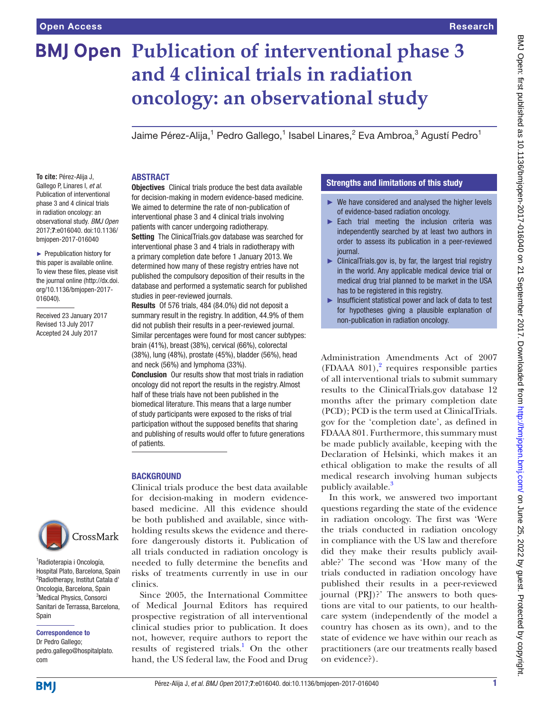# **BMJ Open Publication of interventional phase 3 and 4 clinical trials in radiation oncology: an observational study**

Jaime Pérez-Alija, $^1$  Pedro Gallego, $^1$  Isabel Linares, $^2$  Eva Ambroa, $^3$  Agustí Pedro $^1$ 

#### **To cite:** Pérez-Alija J, Gallego P, Linares I, *et al*. Publication of interventional phase 3 and 4 clinical trials in radiation oncology: an observational study. *BMJ Open* 2017;7:e016040. doi:10.1136/ bmjopen-2017-016040

► Prepublication history for this paper is available online. To view these files, please visit the journal online [\(http://dx.doi.](http://dx.doi.org/10.1136/bmjopen-2017-016040) [org/10.1136/bmjopen-2017-](http://dx.doi.org/10.1136/bmjopen-2017-016040) [016040\)](http://dx.doi.org/10.1136/bmjopen-2017-016040).

Received 23 January 2017 Revised 13 July 2017 Accepted 24 July 2017



1 Radioterapia i Oncología, Hospital Plato, Barcelona, Spain 2 Radiotherapy, Institut Catala d' Oncologia, Barcelona, Spain <sup>3</sup>Medical Physics, Consorci Sanitari de Terrassa, Barcelona, Spain

#### Correspondence to

Dr Pedro Gallego; pedro.gallego@hospitalplato. com

#### **ABSTRACT**

**Objectives** Clinical trials produce the best data available for decision-making in modern evidence-based medicine. We aimed to determine the rate of non-publication of interventional phase 3 and 4 clinical trials involving patients with cancer undergoing radiotherapy. Setting The ClinicalTrials.gov database was searched for interventional phase 3 and 4 trials in radiotherapy with a primary completion date before 1 January 2013. We determined how many of these registry entries have not published the compulsory deposition of their results in the database and performed a systematic search for published studies in peer-reviewed journals.

Results Of 576 trials, 484 (84.0%) did not deposit a summary result in the registry. In addition, 44.9% of them did not publish their results in a peer-reviewed journal. Similar percentages were found for most cancer subtypes: brain (41%), breast (38%), cervical (66%), colorectal (38%), lung (48%), prostate (45%), bladder (56%), head and neck (56%) and lymphoma (33%).

**Conclusion** Our results show that most trials in radiation oncology did not report the results in the registry. Almost half of these trials have not been published in the biomedical literature. This means that a large number of study participants were exposed to the risks of trial participation without the supposed benefits that sharing and publishing of results would offer to future generations of patients.

#### **BACKGROUND**

Clinical trials produce the best data available for decision-making in modern evidencebased medicine. All this evidence should be both published and available, since withholding results skews the evidence and therefore dangerously distorts it. Publication of all trials conducted in radiation oncology is needed to fully determine the benefits and risks of treatments currently in use in our clinics.

Since 2005, the International Committee of Medical Journal Editors has required prospective registration of all interventional clinical studies prior to publication. It does not, however, require authors to report the results of registered trials.<sup>1</sup> On the other hand, the US federal law, the Food and Drug

#### Strengths and limitations of this study

- $\blacktriangleright$  We have considered and analysed the higher levels of evidence-based radiation oncology.
- ► Each trial meeting the inclusion criteria was independently searched by at least two authors in order to assess its publication in a peer-reviewed journal.
- ► ClinicalTrials.gov is, by far, the largest trial registry in the world. Any applicable medical device trial or medical drug trial planned to be market in the USA has to be registered in this registry.
- ► Insufficient statistical power and lack of data to test for hypotheses giving a plausible explanation of non-publication in radiation oncology.

Administration Amendments Act of 2007  $(FDAAA 801)<sup>2</sup>$  $(FDAAA 801)<sup>2</sup>$  $(FDAAA 801)<sup>2</sup>$  requires responsible parties of all interventional trials to submit summary results to the ClinicalTrials.gov database 12 months after the primary completion date (PCD); PCD is the term used at ClinicalTrials. gov for the 'completion date', as defined in FDAAA 801. Furthermore, this summary must be made publicly available, keeping with the Declaration of Helsinki, which makes it an ethical obligation to make the results of all medical research involving human subjects publicly available.<sup>[3](#page-7-1)</sup>

In this work, we answered two important questions regarding the state of the evidence in radiation oncology. The first was 'Were the trials conducted in radiation oncology in compliance with the US law and therefore did they make their results publicly available?' The second was 'How many of the trials conducted in radiation oncology have published their results in a peer-reviewed journal (PRJ)?' The answers to both questions are vital to our patients, to our healthcare system (independently of the model a country has chosen as its own), and to the state of evidence we have within our reach as practitioners (are our treatments really based on evidence?).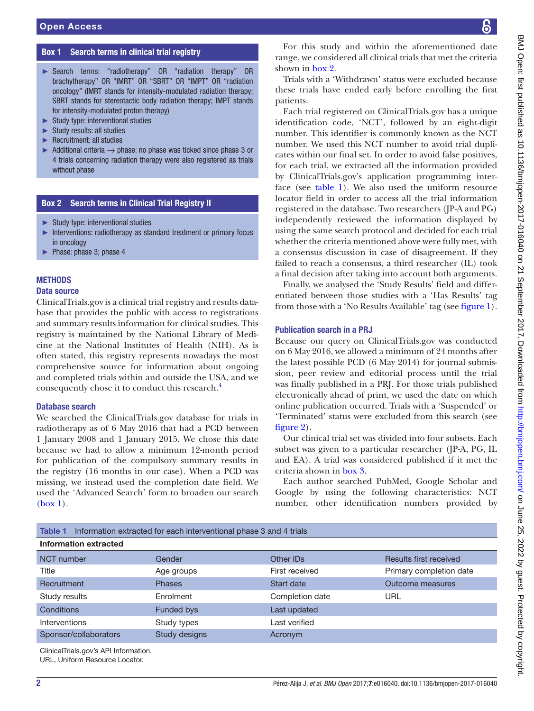### Box 1 Search terms in clinical trial registry

- <span id="page-1-0"></span>► Search terms: "radiotherapy" OR "radiation therapy" OR brachytherapy" OR "IMRT" OR "SBRT" OR "IMPT" OR "radiation oncology" (IMRT stands for intensity-modulated radiation therapy; SBRT stands for stereotactic body radiation therapy; IMPT stands for intensity-modulated proton therapy)
- ► Study type: interventional studies
- ► Study results: all studies
- ► Recruitment: all studies
- $\blacktriangleright$  Additional criteria  $\rightarrow$  phase: no phase was ticked since phase 3 or 4 trials concerning radiation therapy were also registered as trials without phase

#### Box 2 Search terms in Clinical Trial Registry II

- <span id="page-1-1"></span>► Study type: interventional studies
- Interventions: radiotherapy as standard treatment or primary focus in oncology
- Phase: phase 3; phase 4

# **METHODS**

## Data source

ClinicalTrials.gov is a clinical trial registry and results database that provides the public with access to registrations and summary results information for clinical studies. This registry is maintained by the National Library of Medicine at the National Institutes of Health (NIH). As is often stated, this registry represents nowadays the most comprehensive source for information about ongoing and completed trials within and outside the USA, and we consequently chose it to conduct this research.[4](#page-7-2)

#### Database search

We searched the ClinicalTrials.gov database for trials in radiotherapy as of 6 May 2016 that had a PCD between 1 January 2008 and 1 January 2015. We chose this date because we had to allow a minimum 12-month period for publication of the compulsory summary results in the registry (16 months in our case). When a PCD was missing, we instead used the completion date field. We used the 'Advanced Search' form to broaden our search ([box](#page-1-0) 1).

For this study and within the aforementioned date range, we considered all clinical trials that met the criteria shown in [box](#page-1-1) 2.

Trials with a 'Withdrawn' status were excluded because these trials have ended early before enrolling the first patients.

Each trial registered on ClinicalTrials.gov has a unique identification code, 'NCT', followed by an eight-digit number. This identifier is commonly known as the NCT number. We used this NCT number to avoid trial duplicates within our final set. In order to avoid false positives, for each trial, we extracted all the information provided by ClinicalTrials.gov's application programming interface (see [table](#page-1-2) 1). We also used the uniform resource locator field in order to access all the trial information registered in the database. Two researchers (JP-A and PG) independently reviewed the information displayed by using the same search protocol and decided for each trial whether the criteria mentioned above were fully met, with a consensus discussion in case of disagreement. If they failed to reach a consensus, a third researcher (IL) took a final decision after taking into account both arguments.

Finally, we analysed the 'Study Results' field and differentiated between those studies with a 'Has Results' tag from those with a 'No Results Available' tag (see [figure](#page-2-0) 1).

#### Publication search in a PRJ

Because our query on ClinicalTrials.gov was conducted on 6 May 2016, we allowed a minimum of 24 months after the latest possible PCD (6 May 2014) for journal submission, peer review and editorial process until the trial was finally published in a PRJ. For those trials published electronically ahead of print, we used the date on which online publication occurred. Trials with a 'Suspended' or 'Terminated' status were excluded from this search (see [figure](#page-2-1) 2).

Our clinical trial set was divided into four subsets. Each subset was given to a particular researcher (JP-A, PG, IL and EA). A trial was considered published if it met the criteria shown in [box](#page-2-2) 3.

Each author searched PubMed, Google Scholar and Google by using the following characteristics: NCT number, other identification numbers provided by

# <span id="page-1-2"></span>Table 1 Information extracted for each interventional phase 3 and 4 trials

| Information extracted |               |                       |                         |  |
|-----------------------|---------------|-----------------------|-------------------------|--|
| <b>NCT</b> number     | Gender        | Other ID <sub>s</sub> | Results first received  |  |
| Title                 | Age groups    | First received        | Primary completion date |  |
| Recruitment           | <b>Phases</b> | Start date            | <b>Outcome measures</b> |  |
| Study results         | Enrolment     | Completion date       | URL                     |  |
| Conditions            | Funded bys    | Last updated          |                         |  |
| <b>Interventions</b>  | Study types   | Last verified         |                         |  |
| Sponsor/collaborators | Study designs | Acronym               |                         |  |

ClinicalTrials.gov's API Information.

URL, Uniform Resource Locator.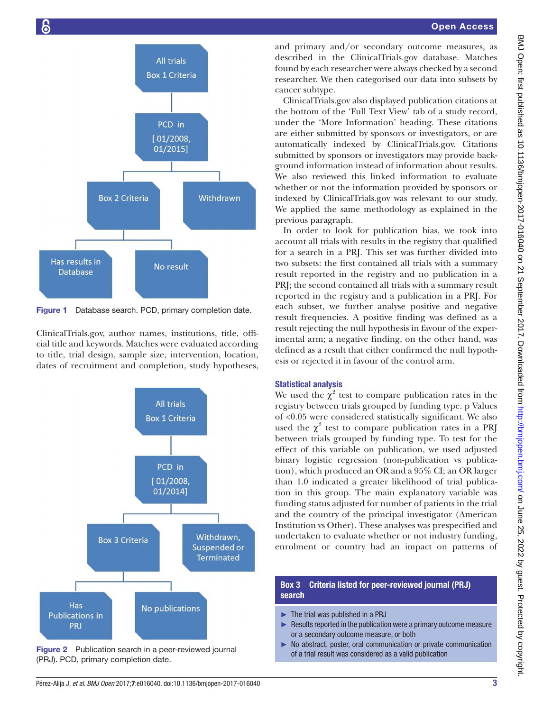

<span id="page-2-0"></span>Figure 1 Database search. PCD, primary completion date.

ClinicalTrials.gov, author names, institutions, title, official title and keywords. Matches were evaluated according to title, trial design, sample size, intervention, location, dates of recruitment and completion, study hypotheses,



<span id="page-2-1"></span>Figure 2 Publication search in a peer-reviewed journal (PRJ). PCD, primary completion date.

and primary and/or secondary outcome measures, as described in the ClinicalTrials.gov database. Matches found by each researcher were always checked by a second researcher. We then categorised our data into subsets by cancer subtype.

ClinicalTrials.gov also displayed publication citations at the bottom of the 'Full Text View' tab of a study record, under the 'More Information' heading. These citations are either submitted by sponsors or investigators, or are automatically indexed by ClinicalTrials.gov. Citations submitted by sponsors or investigators may provide background information instead of information about results. We also reviewed this linked information to evaluate whether or not the information provided by sponsors or indexed by ClinicalTrials.gov was relevant to our study. We applied the same methodology as explained in the previous paragraph.

In order to look for publication bias, we took into account all trials with results in the registry that qualified for a search in a PRJ. This set was further divided into two subsets: the first contained all trials with a summary result reported in the registry and no publication in a PRJ; the second contained all trials with a summary result reported in the registry and a publication in a PRJ. For each subset, we further analyse positive and negative result frequencies. A positive finding was defined as a result rejecting the null hypothesis in favour of the experimental arm; a negative finding, on the other hand, was defined as a result that either confirmed the null hypothesis or rejected it in favour of the control arm.

#### Statistical analysis

We used the  $\chi^2$  test to compare publication rates in the registry between trials grouped by funding type. p Values of <0.05 were considered statistically significant. We also used the  $\chi^2$  test to compare publication rates in a PRJ between trials grouped by funding type. To test for the effect of this variable on publication, we used adjusted binary logistic regression (non-publication vs publication), which produced an OR and a 95% CI; an OR larger than 1.0 indicated a greater likelihood of trial publication in this group. The main explanatory variable was funding status adjusted for number of patients in the trial and the country of the principal investigator (American Institution vs Other). These analyses was prespecified and undertaken to evaluate whether or not industry funding, enrolment or country had an impact on patterns of

#### Box 3 Criteria listed for peer-reviewed journal (PRJ) search

- <span id="page-2-2"></span> $\blacktriangleright$  The trial was published in a PRJ
- Results reported in the publication were a primary outcome measure or a secondary outcome measure, or both
- ► No abstract, poster, oral communication or private communication of a trial result was considered as a valid publication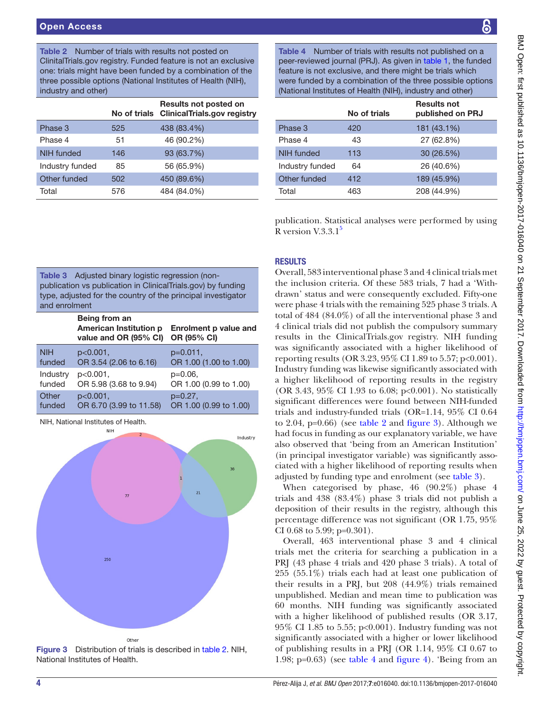<span id="page-3-0"></span>Table 2 Number of trials with results not posted on ClinitalTrials.gov registry. Funded feature is not an exclusive one: trials might have been funded by a combination of the three possible options (National Institutes of Health (NIH), industry and other)

|                 |     | Results not posted on<br>No of trials Clinical Trials.gov registry |
|-----------------|-----|--------------------------------------------------------------------|
| Phase 3         | 525 | 438 (83.4%)                                                        |
| Phase 4         | 51  | 46 (90.2%)                                                         |
| NIH funded      | 146 | 93 (63.7%)                                                         |
| Industry funded | 85  | 56 (65.9%)                                                         |
| Other funded    | 502 | 450 (89.6%)                                                        |
| Total           | 576 | 484 (84.0%)                                                        |

<span id="page-3-2"></span>Table 3 Adjusted binary logistic regression (nonpublication vs publication in ClinicalTrials.gov) by funding type, adjusted for the country of the principal investigator and enrolment

|            | Being from an<br><b>American Institution p</b><br>value and OR (95% CI) | Enrolment p value and<br>OR (95% CI) |
|------------|-------------------------------------------------------------------------|--------------------------------------|
| <b>NIH</b> | $p<0.001$ ,                                                             | $p=0.011$ ,                          |
| funded     | OR 3.54 (2.06 to 6.16)                                                  | OR 1.00 (1.00 to 1.00)               |
| Industry   | $p<0.001$ ,                                                             | $p=0.06$                             |
| funded     | OR 5.98 (3.68 to 9.94)                                                  | OR 1.00 (0.99 to 1.00)               |
| Other      | $p<0.001$ ,                                                             | $p=0.27$                             |
| funded     | OR 6.70 (3.99 to 11.58)                                                 | OR 1.00 (0.99 to 1.00)               |

NIH, National Institutes of Health.



<span id="page-3-1"></span>

<span id="page-3-3"></span>Table 4 Number of trials with results not published on a peer-reviewed journal (PRJ). As given in [table 1](#page-1-2), the funded feature is not exclusive, and there might be trials which were funded by a combination of the three possible options (National Institutes of Health (NIH), industry and other)

|                 | No of trials | <b>Results not</b><br>published on PRJ |
|-----------------|--------------|----------------------------------------|
| Phase 3         | 420          | 181 (43.1%)                            |
| Phase 4         | 43           | 27 (62.8%)                             |
| NIH funded      | 113          | 30(26.5%)                              |
| Industry funded | 64           | 26 (40.6%)                             |
| Other funded    | 412          | 189 (45.9%)                            |
| Total           | 463          | 208 (44.9%)                            |

publication. Statistical analyses were performed by using R version  $V.3.3.1<sup>5</sup>$  $V.3.3.1<sup>5</sup>$  $V.3.3.1<sup>5</sup>$ 

#### **RESULTS**

Overall, 583 interventional phase 3 and 4 clinical trials met the inclusion criteria. Of these 583 trials, 7 had a 'Withdrawn' status and were consequently excluded. Fifty-one were phase 4 trials with the remaining 525 phase 3 trials. A total of 484 (84.0%) of all the interventional phase 3 and 4 clinical trials did not publish the compulsory summary results in the ClinicalTrials.gov registry. NIH funding was significantly associated with a higher likelihood of reporting results (OR 3.23, 95% CI 1.89 to 5.57; p<0.001). Industry funding was likewise significantly associated with a higher likelihood of reporting results in the registry (OR 3.43, 95% CI 1.93 to 6.08; p<0.001). No statistically significant differences were found between NIH-funded trials and industry-funded trials (OR=1.14, 95% CI 0.64 to 2.04,  $p=0.66$ ) (see [table](#page-3-0) 2 and [figure](#page-3-1) 3). Although we had focus in funding as our explanatory variable, we have also observed that 'being from an American Institution' (in principal investigator variable) was significantly associated with a higher likelihood of reporting results when adjusted by funding type and enrolment (see [table](#page-3-2) 3).

When categorised by phase, 46 (90.2%) phase 4 trials and 438 (83.4%) phase 3 trials did not publish a deposition of their results in the registry, although this percentage difference was not significant (OR 1.75, 95% CI 0.68 to 5.99; p=0.301).

Overall, 463 interventional phase 3 and 4 clinical trials met the criteria for searching a publication in a PRJ (43 phase 4 trials and 420 phase 3 trials). A total of 255 (55.1%) trials each had at least one publication of their results in a PRJ, but 208 (44.9%) trials remained unpublished. Median and mean time to publication was 60 months. NIH funding was significantly associated with a higher likelihood of published results (OR 3.17, 95% CI 1.85 to 5.55; p<0.001). Industry funding was not significantly associated with a higher or lower likelihood of publishing results in a PRJ (OR 1.14, 95% CI 0.67 to 1.98; p=0.63) (see [table](#page-3-3) 4 and [figure](#page-4-0) 4). 'Being from an

கெ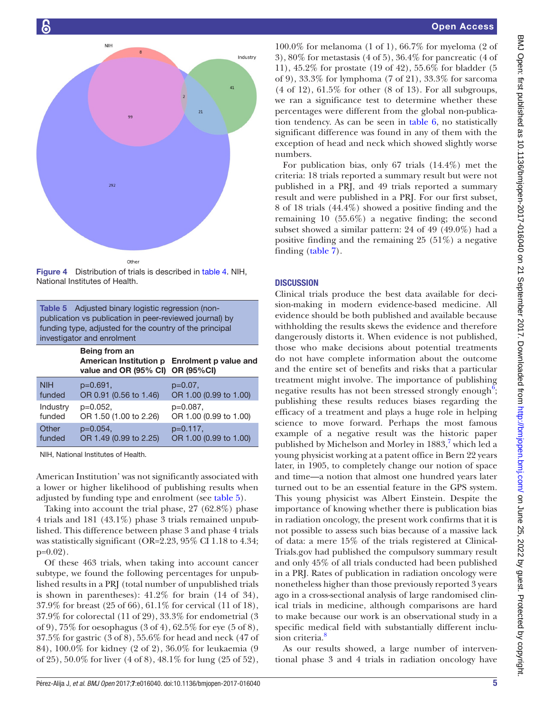

Figure 4 Distribution of trials is described in [table 4.](#page-3-3) NIH, National Institutes of Health.

<span id="page-4-1"></span><span id="page-4-0"></span>Table 5 Adjusted binary logistic regression (nonpublication vs publication in peer-reviewed journal) by funding type, adjusted for the country of the principal investigator and enrolment

|            | Being from an<br>American Institution p Enrolment p value and<br>value and OR (95% CI) OR (95% CI) |                        |
|------------|----------------------------------------------------------------------------------------------------|------------------------|
| <b>NIH</b> | $p=0.691$ ,                                                                                        | $p=0.07$               |
| funded     | OR 0.91 (0.56 to 1.46)                                                                             | OR 1.00 (0.99 to 1.00) |
| Industry   | $p=0.052$                                                                                          | p=0.087,               |
| funded     | OR 1.50 (1.00 to 2.26)                                                                             | OR 1.00 (0.99 to 1.00) |
| Other      | $p=0.054$ ,                                                                                        | p=0.117,               |
| funded     | OR 1.49 (0.99 to 2.25)                                                                             | OR 1.00 (0.99 to 1.00) |

NIH, National Institutes of Health.

American Institution' was not significantly associated with a lower or higher likelihood of publishing results when adjusted by funding type and enrolment (see [table](#page-4-1) 5).

Taking into account the trial phase, 27 (62.8%) phase 4 trials and 181 (43.1%) phase 3 trials remained unpublished. This difference between phase 3 and phase 4 trials was statistically significant (OR=2.23, 95% CI 1.18 to 4.34;  $p=0.02$ ).

Of these 463 trials, when taking into account cancer subtype, we found the following percentages for unpublished results in a PRJ (total number of unpublished trials is shown in parentheses): 41.2% for brain (14 of 34), 37.9% for breast (25 of 66), 61.1% for cervical (11 of 18), 37.9% for colorectal (11 of 29), 33.3% for endometrial (3 of 9), 75% for oesophagus (3 of 4), 62.5% for eye (5 of 8), 37.5% for gastric (3 of 8), 55.6% for head and neck (47 of 84), 100.0% for kidney (2 of 2), 36.0% for leukaemia (9 of 25), 50.0% for liver (4 of 8), 48.1% for lung (25 of 52),

BMJ Open: first published as 10.1136/bmjopen-2017-016040 on 21 September 2017. Downloaded from http://bmjopen.bmj.com/ on June 25, 2022 by guest. Protected by copyright BMJ Open: first published as 10.1136/bmjopen-2017-016040 on 21 September 2017. Downloaded from <http://bmjopen.bmj.com/> on June 25, 2022 by guest. Protected by copyright.

100.0% for melanoma (1 of 1), 66.7% for myeloma (2 of 3), 80% for metastasis (4 of 5), 36.4% for pancreatic (4 of 11), 45.2% for prostate (19 of 42), 55.6% for bladder (5 of 9), 33.3% for lymphoma (7 of 21), 33.3% for sarcoma (4 of 12), 61.5% for other (8 of 13). For all subgroups, we ran a significance test to determine whether these percentages were different from the global non-publication tendency. As can be seen in [table](#page-5-0) 6, no statistically significant difference was found in any of them with the exception of head and neck which showed slightly worse numbers.

For publication bias, only 67 trials (14.4%) met the criteria: 18 trials reported a summary result but were not published in a PRJ, and 49 trials reported a summary result and were published in a PRJ. For our first subset, 8 of 18 trials (44.4%) showed a positive finding and the remaining 10 (55.6%) a negative finding; the second subset showed a similar pattern: 24 of 49 (49.0%) had a positive finding and the remaining 25 (51%) a negative finding ([table](#page-5-1) 7).

# **DISCUSSION**

Clinical trials produce the best data available for decision-making in modern evidence-based medicine. All evidence should be both published and available because withholding the results skews the evidence and therefore dangerously distorts it. When evidence is not published, those who make decisions about potential treatments do not have complete information about the outcome and the entire set of benefits and risks that a particular treatment might involve. The importance of publishing negative results has not been stressed strongly enough<sup>[6](#page-7-4)</sup>; publishing these results reduces biases regarding the efficacy of a treatment and plays a huge role in helping science to move forward. Perhaps the most famous example of a negative result was the historic paper published by Michelson and Morley in 1883,<sup>[7](#page-7-5)</sup> which led a young physicist working at a patent office in Bern 22 years later, in 1905, to completely change our notion of space and time—a notion that almost one hundred years later turned out to be an essential feature in the GPS system. This young physicist was Albert Einstein. Despite the importance of knowing whether there is publication bias in radiation oncology, the present work confirms that it is not possible to assess such bias because of a massive lack of data: a mere 15% of the trials registered at Clinical-Trials.gov had published the compulsory summary result and only 45% of all trials conducted had been published in a PRJ. Rates of publication in radiation oncology were nonetheless higher than those previously reported 3 years ago in a cross-sectional analysis of large randomised clinical trials in medicine, although comparisons are hard to make because our work is an observational study in a specific medical field with substantially different inclusion criteria.<sup>8</sup>

As our results showed, a large number of interventional phase 3 and 4 trials in radiation oncology have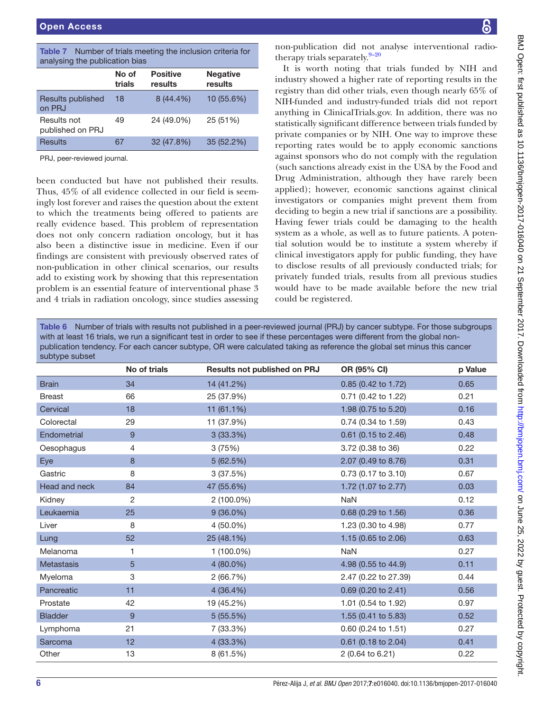<span id="page-5-1"></span>

| <b>Table 7</b> Number of trials meeting the inclusion criteria for<br>analysing the publication bias |                 |                            |                            |
|------------------------------------------------------------------------------------------------------|-----------------|----------------------------|----------------------------|
|                                                                                                      | No of<br>trials | <b>Positive</b><br>results | <b>Negative</b><br>results |
| Results published<br>on PRJ                                                                          | 18              | $8(44.4\%)$                | 10 (55.6%)                 |
| Results not<br>published on PRJ                                                                      | 49              | 24 (49.0%)                 | 25 (51%)                   |
| <b>Results</b>                                                                                       | 67              | 32 (47.8%)                 | 35(52.2%)                  |

PRJ, peer-reviewed journal.

been conducted but have not published their results. Thus, 45% of all evidence collected in our field is seemingly lost forever and raises the question about the extent to which the treatments being offered to patients are really evidence based. This problem of representation does not only concern radiation oncology, but it has also been a distinctive issue in medicine. Even if our findings are consistent with previously observed rates of non-publication in other clinical scenarios, our results add to existing work by showing that this representation problem is an essential feature of interventional phase 3 and 4 trials in radiation oncology, since studies assessing non-publication did not analyse interventional radiotherapy trials separately.<sup>9-20</sup> It is worth noting that trials funded by NIH and industry showed a higher rate of reporting results in the registry than did other trials, even though nearly 65% of NIH-funded and industry-funded trials did not report anything in ClinicalTrials.gov. In addition, there was no statistically significant difference between trials funded by private companies or by NIH. One way to improve these reporting rates would be to apply economic sanctions against sponsors who do not comply with the regulation (such sanctions already exist in the USA by the Food and Drug Administration, although they have rarely been applied); however, economic sanctions against clinical investigators or companies might prevent them from deciding to begin a new trial if sanctions are a possibility. Having fewer trials could be damaging to the health system as a whole, as well as to future patients. A potential solution would be to institute a system whereby if clinical investigators apply for public funding, they have to disclose results of all previously conducted trials; for privately funded trials, results from all previous studies would have to be made available before the new trial could be registered.

<span id="page-5-0"></span>Table 6 Number of trials with results not published in a peer-reviewed journal (PRJ) by cancer subtype. For those subgroups with at least 16 trials, we run a significant test in order to see if these percentages were different from the global nonpublication tendency. For each cancer subtype, OR were calculated taking as reference the global set minus this cancer subtype subset

|                   | No of trials | <b>Results not published on PRJ</b> | OR (95% CI)           | p Value |
|-------------------|--------------|-------------------------------------|-----------------------|---------|
| <b>Brain</b>      | 34           | 14 (41.2%)                          | 0.85 (0.42 to 1.72)   | 0.65    |
| <b>Breast</b>     | 66           | 25 (37.9%)                          | 0.71 (0.42 to 1.22)   | 0.21    |
| Cervical          | 18           | 11 (61.1%)                          | 1.98 (0.75 to 5.20)   | 0.16    |
| Colorectal        | 29           | 11 (37.9%)                          | 0.74 (0.34 to 1.59)   | 0.43    |
| Endometrial       | 9            | 3(33.3%)                            | 0.61 (0.15 to 2.46)   | 0.48    |
| Oesophagus        | 4            | 3(75%)                              | 3.72 (0.38 to 36)     | 0.22    |
| Eye               | 8            | 5(62.5%)                            | 2.07 (0.49 to 8.76)   | 0.31    |
| Gastric           | 8            | 3(37.5%)                            | 0.73 (0.17 to 3.10)   | 0.67    |
| Head and neck     | 84           | 47 (55.6%)                          | 1.72 (1.07 to 2.77)   | 0.03    |
| Kidney            | 2            | 2 (100.0%)                          | <b>NaN</b>            | 0.12    |
| Leukaemia         | 25           | $9(36.0\%)$                         | 0.68 (0.29 to 1.56)   | 0.36    |
| Liver             | 8            | 4 (50.0%)                           | 1.23 (0.30 to 4.98)   | 0.77    |
| Lung              | 52           | 25 (48.1%)                          | 1.15 (0.65 to 2.06)   | 0.63    |
| Melanoma          | 1            | 1 (100.0%)                          | <b>NaN</b>            | 0.27    |
| <b>Metastasis</b> | 5            | 4 (80.0%)                           | 4.98 (0.55 to 44.9)   | 0.11    |
| Myeloma           | 3            | 2(66.7%)                            | 2.47 (0.22 to 27.39)  | 0.44    |
| Pancreatic        | 11           | $4(36.4\%)$                         | 0.69 (0.20 to 2.41)   | 0.56    |
| Prostate          | 42           | 19 (45.2%)                          | 1.01 (0.54 to 1.92)   | 0.97    |
| <b>Bladder</b>    | 9            | 5(55.5%)                            | 1.55 (0.41 to 5.83)   | 0.52    |
| Lymphoma          | 21           | 7 (33.3%)                           | $0.60$ (0.24 to 1.51) | 0.27    |
| Sarcoma           | 12           | 4 (33.3%)                           | 0.61 (0.18 to 2.04)   | 0.41    |
| Other             | 13           | 8 (61.5%)                           | 2 (0.64 to 6.21)      | 0.22    |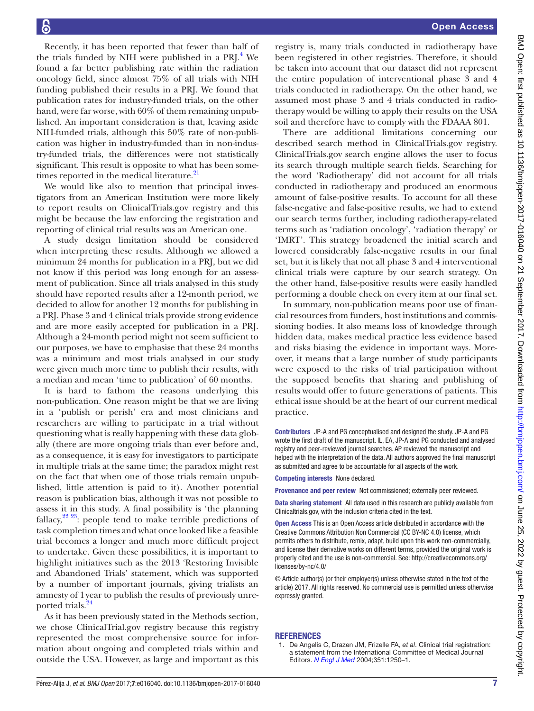Recently, it has been reported that fewer than half of the trials funded by NIH were published in a PRJ.<sup>[4](#page-7-2)</sup> We found a far better publishing rate within the radiation oncology field, since almost 75% of all trials with NIH funding published their results in a PRJ. We found that publication rates for industry-funded trials, on the other hand, were far worse, with  $60\%$  of them remaining unpublished. An important consideration is that, leaving aside NIH-funded trials, although this 50% rate of non-publication was higher in industry-funded than in non-industry-funded trials, the differences were not statistically significant. This result is opposite to what has been some-times reported in the medical literature.<sup>[21](#page-7-8)</sup>

We would like also to mention that principal investigators from an American Institution were more likely to report results on ClinicalTrials.gov registry and this might be because the law enforcing the registration and reporting of clinical trial results was an American one.

A study design limitation should be considered when interpreting these results. Although we allowed a minimum 24 months for publication in a PRJ, but we did not know if this period was long enough for an assessment of publication. Since all trials analysed in this study should have reported results after a 12-month period, we decided to allow for another 12 months for publishing in a PRJ. Phase 3 and 4 clinical trials provide strong evidence and are more easily accepted for publication in a PRJ. Although a 24-month period might not seem sufficient to our purposes, we have to emphasise that these 24 months was a minimum and most trials analysed in our study were given much more time to publish their results, with a median and mean 'time to publication' of 60 months.

It is hard to fathom the reasons underlying this non-publication. One reason might be that we are living in a 'publish or perish' era and most clinicians and researchers are willing to participate in a trial without questioning what is really happening with these data globally (there are more ongoing trials than ever before and, as a consequence, it is easy for investigators to participate in multiple trials at the same time; the paradox might rest on the fact that when one of those trials remain unpublished, little attention is paid to it). Another potential reason is publication bias, although it was not possible to assess it in this study. A final possibility is 'the planning fallacy, $2^{22}$ <sup>23</sup>: people tend to make terrible predictions of task completion times and what once looked like a feasible trial becomes a longer and much more difficult project to undertake. Given these possibilities, it is important to highlight initiatives such as the 2013 'Restoring Invisible and Abandoned Trials' statement, which was supported by a number of important journals, giving trialists an amnesty of 1year to publish the results of previously unreported trials.<sup>24</sup>

As it has been previously stated in the Methods section, we chose ClinicalTrial.gov registry because this registry represented the most comprehensive source for information about ongoing and completed trials within and outside the USA. However, as large and important as this registry is, many trials conducted in radiotherapy have been registered in other registries. Therefore, it should be taken into account that our dataset did not represent the entire population of interventional phase 3 and 4 trials conducted in radiotherapy. On the other hand, we assumed most phase 3 and 4 trials conducted in radiotherapy would be willing to apply their results on the USA soil and therefore have to comply with the FDAAA 801.

There are additional limitations concerning our described search method in ClinicalTrials.gov registry. ClinicalTrials.gov search engine allows the user to focus its search through multiple search fields. Searching for the word 'Radiotherapy' did not account for all trials conducted in radiotherapy and produced an enormous amount of false-positive results. To account for all these false-negative and false-positive results, we had to extend our search terms further, including radiotherapy-related terms such as 'radiation oncology', 'radiation therapy' or 'IMRT'. This strategy broadened the initial search and lowered considerably false-negative results in our final set, but it is likely that not all phase 3 and 4 interventional clinical trials were capture by our search strategy. On the other hand, false-positive results were easily handled performing a double check on every item at our final set.

In summary, non-publication means poor use of financial resources from funders, host institutions and commissioning bodies. It also means loss of knowledge through hidden data, makes medical practice less evidence based and risks biasing the evidence in important ways. Moreover, it means that a large number of study participants were exposed to the risks of trial participation without the supposed benefits that sharing and publishing of results would offer to future generations of patients. This ethical issue should be at the heart of our current medical practice.

Contributors JP-A and PG conceptualised and designed the study. JP-A and PG wrote the first draft of the manuscript. IL, EA, JP-A and PG conducted and analysed registry and peer-reviewed journal searches. AP reviewed the manuscript and helped with the interpretation of the data. All authors approved the final manuscript as submitted and agree to be accountable for all aspects of the work.

Competing interests None declared.

Provenance and peer review Not commissioned; externally peer reviewed.

Data sharing statement All data used in this research are publicly available from Clinicaltrials.gov, with the inclusion criteria cited in the text.

Open Access This is an Open Access article distributed in accordance with the Creative Commons Attribution Non Commercial (CC BY-NC 4.0) license, which permits others to distribute, remix, adapt, build upon this work non-commercially, and license their derivative works on different terms, provided the original work is properly cited and the use is non-commercial. See: [http://creativecommons.org/](http://creativecommons.org/licenses/by-nc/4.0/) [licenses/by-nc/4.0/](http://creativecommons.org/licenses/by-nc/4.0/)

© Article author(s) (or their employer(s) unless otherwise stated in the text of the article) 2017. All rights reserved. No commercial use is permitted unless otherwise expressly granted.

#### **REFERENCES**

<span id="page-6-0"></span>1. De Angelis C, Drazen JM, Frizelle FA, *et al*. Clinical trial registration: a statement from the International Committee of Medical Journal Editors. *[N Engl J Med](http://dx.doi.org/10.1056/NEJMe048225)* 2004;351:1250–1.